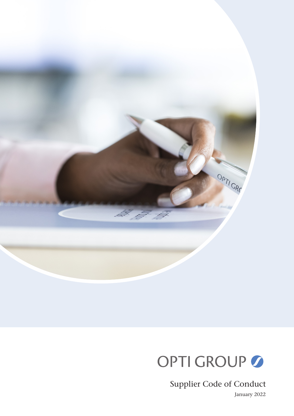

# OPTI GROUP

Supplier Code of Conduct

January 2022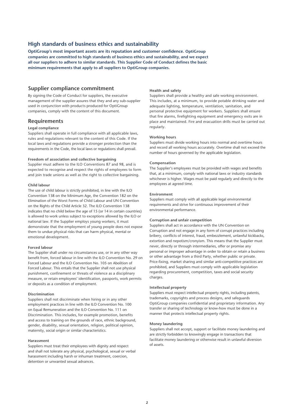# **High standards of business ethics and sustainability**

**OptiGroup's most important assets are its reputation and customer confidence. OptiGroup companies are committed to high standards of business ethics and sustainability, and we expect all our suppliers to adhere to similar standards. This Supplier Code of Conduct defines the basic minimum requirements that apply to all suppliers to OptiGroup companies.**

## **Supplier compliance commitment**

By signing the Code of Conduct for suppliers, the executive management of the supplier assures that they and any sub-supplier used in conjunction with products produced for OptiGroup companies, comply with the content of this document.

## **Requirements**

## **Legal compliance**

Suppliers shall operate in full compliance with all applicable laws, rules and regulations relevant to the content of this Code. If the local laws and regulations provide a stronger protection than the requirements in the Code, the local laws or regulations shall prevail.

## **Freedom of association and collective bargaining**

Supplier must adhere to the ILO Conventions 87 and 98, and is expected to recognise and respect the rights of employees to form and join trade unions as well as the right to collective bargaining.

#### **Child labour**

The use of child labour is strictly prohibited, in line with the ILO Convention 138 on the Minimum Age, the Convention 182 on the Elimination of the Worst Forms of Child Labour and UN Convention on the Rights of the Child Article 32. The ILO Convention 138 indicates that no child below the age of 15 (or 14 in certain countries) is allowed to work unless subject to exceptions allowed by the ILO or national law. If the Supplier employs young workers, it must demonstrate that the employment of young people does not expose them to undue physical risks that can harm physical, mental or emotional development.

#### **Forced labour**

The Supplier shall under no circumstances use, or in any other way benefit from, forced labour in line with the ILO Convention No. 29 on Forced Labour and the ILO Convention No. 105 on Abolition of Forced Labour. This entails that the Supplier shall not use physical punishment, confinement or threats of violence as a disciplinary measure, or retain employees' identification, passports, work permits or deposits as a condition of employment.

## **Discrimination**

Suppliers shall not discriminate when hiring or in any other employment practices in line with the ILO Convention No. 100 on Equal Remuneration and the ILO Convention No. 111 on Discrimination. This includes, for example promotion, benefits and access to training on the grounds of race, ethnic background, gender, disability, sexual orientation, religion, political opinion, maternity, social origin or similar characteristics.

#### **Harassment**

Suppliers must treat their employees with dignity and respect and shall not tolerate any physical, psychological, sexual or verbal harassment including harsh or inhuman treatment, coercion, detention or unwanted sexual advances.

## **Health and safety**

Suppliers shall provide a healthy and safe working environment. This includes, at a minimum, to provide potable drinking water and adequate lighting, temperature, ventilation, sanitation, and personal protective equipment for workers. Suppliers shall ensure that fire alarms, firefighting equipment and emergency exits are in place and maintained. Fire and evacuation drills must be carried out regularly.

## **Working hours**

Suppliers must divide working hours into normal and overtime hours and record all working hours accurately. Overtime shall not exceed the number of hours governed by the applicable legislation.

#### **Compensation**

The Supplier's employees must be provided with wages and benefits that, at a minimum, comply with national laws or industry standards whichever is higher. Wages must be paid regularly and directly to the employees at agreed time.

## **Environment**

Suppliers must comply with all applicable legal environmental requirements and strive for continuous improvement of their environmental performance.

## **Corruption and unfair competition**

Suppliers shall act in accordance with the UN Convention on Corruption and not engage in any form of corrupt practices including bribery, conflicts of interest, fraud, embezzlement, unlawful kickbacks, extortion and nepotism/cronyism. This means that the Supplier must never, directly or through intermediaries, offer or promise any personal or improper advantage in order to obtain or retain a business or other advantage from a third Party, whether public or private. Price-fixing, market sharing and similar anti-competitive practices are prohibited, and Suppliers must comply with applicable legislation regarding procurement, competition, taxes and social security charges.

#### **Intellectual property**

Suppliers must respect intellectual property rights, including patents, trademarks, copyrights and process designs, and safeguards OptiGroup companies confidential and proprietary information. Any transfer or sharing of technology or know-how must be done in a manner that protects intellectual property rights.

#### **Money laundering**

Suppliers shall not accept, support or facilitate money laundering and are strictly forbidden to knowingly engage in transactions that facilitate money laundering or otherwise result in unlawful diversion of assets.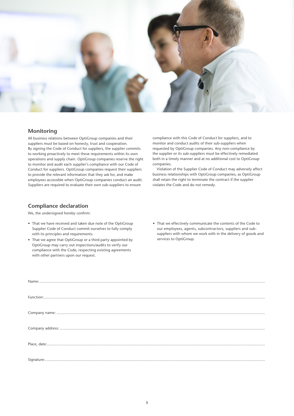

# **Monitoring**

All business relations between OptiGroup companies and their suppliers must be based on honesty, trust and cooperation. By signing the Code of Conduct for suppliers, the supplier commits to working proactively to meet these requirements within its own operations and supply chain. OptiGroup companies reserve the right to monitor and audit each supplier's compliance with our Code of Conduct for suppliers. OptiGroup companies request their suppliers to provide the relevant information that they ask for, and make employees accessible when OptiGroup companies conduct an audit. Suppliers are required to evaluate their own sub-suppliers to ensure

# **Compliance declaration**

We, the undersigned hereby confirm:

- That we have received and taken due note of the OptiGroup Supplier Code of Conduct commit ourselves to fully comply with its principles and requirements.
- That we agree that OptiGroup or a third party appointed by OptiGroup may carry out inspections/audits to verify our compliance with the Code, respecting existing agreements with other partners upon our request.

compliance with this Code of Conduct for suppliers, and to monitor and conduct audits of their sub-suppliers when requested by OptiGroup companies. Any non-compliance by the supplier or its sub-suppliers must be effectively remediated both in a timely manner and at no additional cost to OptiGroup companies.

Violation of the Supplier Code of Conduct may adversely affect business relationships with OptiGroup companies, as OptiGroup shall retain the right to terminate the contract if the supplier violates the Code and do not remedy.

• That we effectively communicate the contents of the Code to our employees, agents, subcontractors, suppliers and subsuppliers with whom we work with in the delivery of goods and services to OptiGroup.